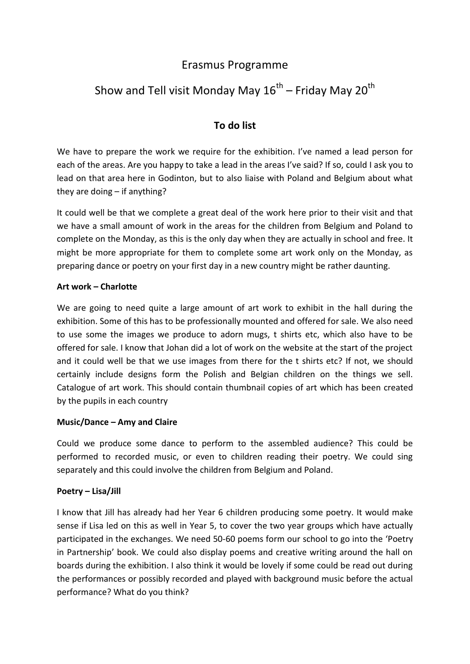# Erasmus Programme

# Show and Tell visit Monday May 16 $^{\rm th}$  – Friday May 20 $^{\rm th}$

# **To do list**

We have to prepare the work we require for the exhibition. I've named a lead person for each of the areas. Are you happy to take a lead in the areas I've said? If so, could I ask you to lead on that area here in Godinton, but to also liaise with Poland and Belgium about what they are doing – if anything?

It could well be that we complete a great deal of the work here prior to their visit and that we have a small amount of work in the areas for the children from Belgium and Poland to complete on the Monday, as this is the only day when they are actually in school and free. It might be more appropriate for them to complete some art work only on the Monday, as preparing dance or poetry on your first day in a new country might be rather daunting.

#### **Art work – Charlotte**

We are going to need quite a large amount of art work to exhibit in the hall during the exhibition. Some of this has to be professionally mounted and offered for sale. We also need to use some the images we produce to adorn mugs, t shirts etc, which also have to be offered for sale. I know that Johan did a lot of work on the website at the start of the project and it could well be that we use images from there for the t shirts etc? If not, we should certainly include designs form the Polish and Belgian children on the things we sell. Catalogue of art work. This should contain thumbnail copies of art which has been created by the pupils in each country

### **Music/Dance – Amy and Claire**

Could we produce some dance to perform to the assembled audience? This could be performed to recorded music, or even to children reading their poetry. We could sing separately and this could involve the children from Belgium and Poland.

### **Poetry – Lisa/Jill**

I know that Jill has already had her Year 6 children producing some poetry. It would make sense if Lisa led on this as well in Year 5, to cover the two year groups which have actually participated in the exchanges. We need 50-60 poems form our school to go into the 'Poetry in Partnership' book. We could also display poems and creative writing around the hall on boards during the exhibition. I also think it would be lovely if some could be read out during the performances or possibly recorded and played with background music before the actual performance? What do you think?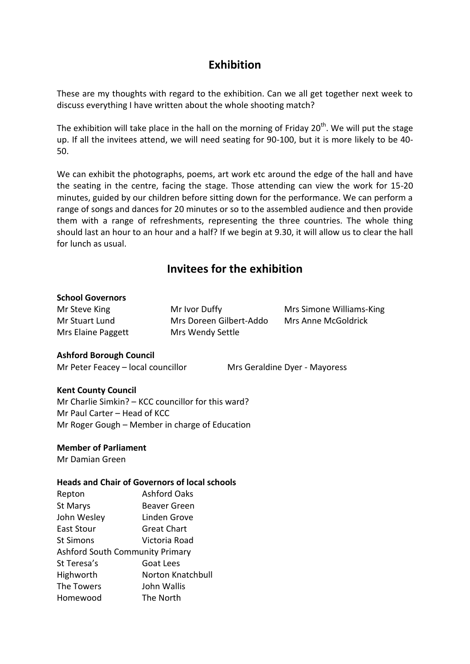# **Exhibition**

These are my thoughts with regard to the exhibition. Can we all get together next week to discuss everything I have written about the whole shooting match?

The exhibition will take place in the hall on the morning of Friday 20<sup>th</sup>. We will put the stage up. If all the invitees attend, we will need seating for 90-100, but it is more likely to be 40- 50.

We can exhibit the photographs, poems, art work etc around the edge of the hall and have the seating in the centre, facing the stage. Those attending can view the work for 15-20 minutes, guided by our children before sitting down for the performance. We can perform a range of songs and dances for 20 minutes or so to the assembled audience and then provide them with a range of refreshments, representing the three countries. The whole thing should last an hour to an hour and a half? If we begin at 9.30, it will allow us to clear the hall for lunch as usual.

# **Invitees for the exhibition**

#### **School Governors**

Mrs Elaine Paggett Mrs Wendy Settle

Mr Stuart Lund Mrs Doreen Gilbert-Addo Mrs Anne McGoldrick

Mr Steve King **Mr Ivor Duffy** Mrs Simone Williams-King

### **Ashford Borough Council**

Mr Peter Feacey - local councillor Mrs Geraldine Dyer - Mayoress

### **Kent County Council**

Mr Charlie Simkin? – KCC councillor for this ward? Mr Paul Carter – Head of KCC Mr Roger Gough – Member in charge of Education

### **Member of Parliament**

Mr Damian Green

#### **Heads and Chair of Governors of local schools**

| Repton                                 | <b>Ashford Oaks</b>      |
|----------------------------------------|--------------------------|
| St Marys                               | Beaver Green             |
| John Wesley                            | Linden Grove             |
| East Stour                             | <b>Great Chart</b>       |
| St Simons                              | Victoria Road            |
| <b>Ashford South Community Primary</b> |                          |
| St Teresa's                            | Goat Lees                |
| Highworth                              | <b>Norton Knatchbull</b> |
| The Towers                             | John Wallis              |
| Homewood                               | The North                |